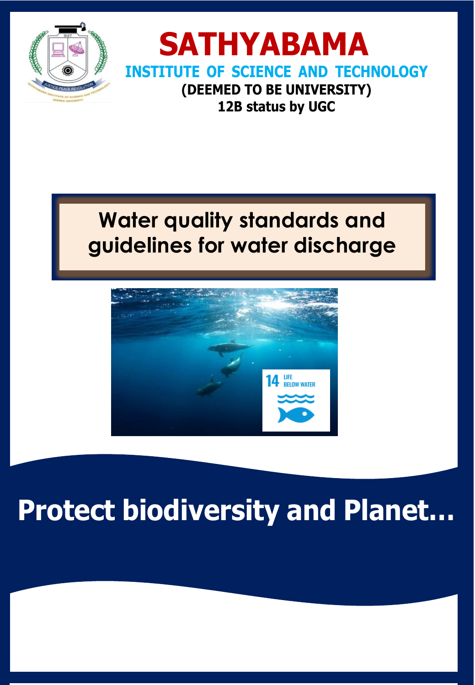

### **SATHYABAMA INSTITUTE OF SCIENCE AND TECHNOLOGY (DEEMED TO BE UNIVERSITY) 12B status by UGC**

## **Water quality standards and guidelines for water discharge**



# **Protect biodiversity and Planet…**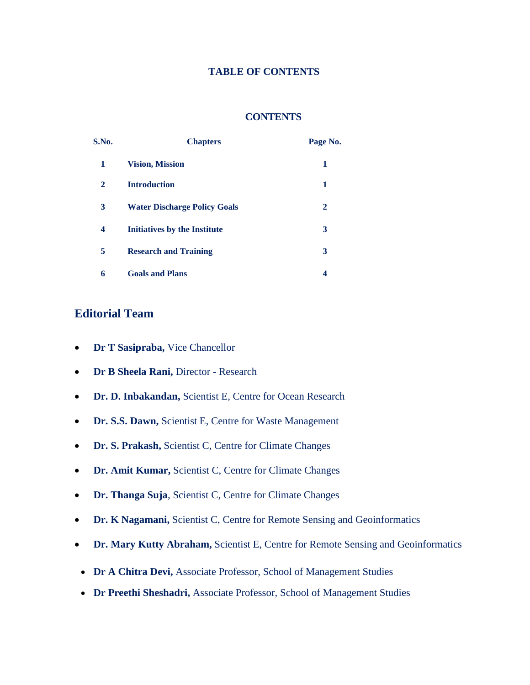#### **TABLE OF CONTENTS**

#### **CONTENTS**

| S.No.        | <b>Chapters</b>                     | Page No.     |
|--------------|-------------------------------------|--------------|
| 1            | <b>Vision, Mission</b>              | 1            |
| $\mathbf{2}$ | <b>Introduction</b>                 | 1            |
| 3            | <b>Water Discharge Policy Goals</b> | $\mathbf{2}$ |
| 4            | <b>Initiatives by the Institute</b> | 3            |
| 5            | <b>Research and Training</b>        | 3            |
| 6            | <b>Goals and Plans</b>              | 4            |

#### **Editorial Team**

- **Dr T Sasipraba, Vice Chancellor**
- **Dr B Sheela Rani,** Director Research
- **Dr. D. Inbakandan,** Scientist E, Centre for Ocean Research
- **Dr. S.S. Dawn,** Scientist E, Centre for Waste Management
- **Dr. S. Prakash,** Scientist C, Centre for Climate Changes
- **Dr. Amit Kumar,** Scientist C, Centre for Climate Changes
- **Dr. Thanga Suja**, Scientist C, Centre for Climate Changes
- **Dr. K Nagamani,** Scientist C, Centre for Remote Sensing and Geoinformatics
- **Dr. Mary Kutty Abraham,** Scientist E, Centre for Remote Sensing and Geoinformatics
- **Dr A Chitra Devi,** Associate Professor, School of Management Studies
- **Dr Preethi Sheshadri,** Associate Professor, School of Management Studies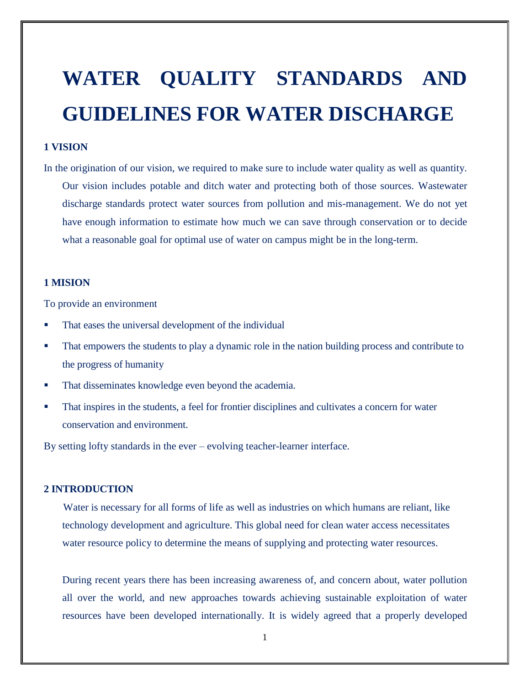## **WATER QUALITY STANDARDS AND GUIDELINES FOR WATER DISCHARGE**

#### **1 VISION**

In the origination of our vision, we required to make sure to include water quality as well as quantity. Our vision includes potable and ditch water and protecting both of those sources. Wastewater discharge standards protect water sources from pollution and mis-management. We do not yet have enough information to estimate how much we can save through conservation or to decide what a reasonable goal for optimal use of water on campus might be in the long-term.

#### **1 MISION**

To provide an environment

- That eases the universal development of the individual
- That empowers the students to play a dynamic role in the nation building process and contribute to the progress of humanity
- **That disseminates knowledge even beyond the academia.**
- That inspires in the students, a feel for frontier disciplines and cultivates a concern for water conservation and environment.

By setting lofty standards in the ever – evolving teacher-learner interface.

#### **2 INTRODUCTION**

Water is necessary for all forms of life as well as industries on which humans are reliant, like technology development and agriculture. This global need for clean water access necessitates water resource policy to determine the means of supplying and protecting water resources.

During recent years there has been increasing awareness of, and concern about, water pollution all over the world, and new approaches towards achieving sustainable exploitation of water resources have been developed internationally. It is widely agreed that a properly developed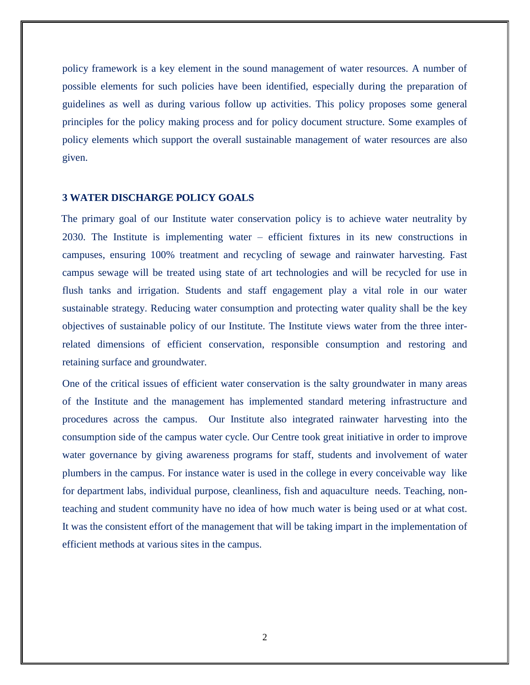policy framework is a key element in the sound management of water resources. A number of possible elements for such policies have been identified, especially during the preparation of guidelines as well as during various follow up activities. This policy proposes some general principles for the policy making process and for policy document structure. Some examples of policy elements which support the overall sustainable management of water resources are also given.

#### **3 WATER DISCHARGE POLICY GOALS**

 The primary goal of our Institute water conservation policy is to achieve water neutrality by 2030. The Institute is implementing water – efficient fixtures in its new constructions in campuses, ensuring 100% treatment and recycling of sewage and rainwater harvesting. Fast campus sewage will be treated using state of art technologies and will be recycled for use in flush tanks and irrigation. Students and staff engagement play a vital role in our water sustainable strategy. Reducing water consumption and protecting water quality shall be the key objectives of sustainable policy of our Institute. The Institute views water from the three interrelated dimensions of efficient conservation, responsible consumption and restoring and retaining surface and groundwater.

One of the critical issues of efficient water conservation is the salty groundwater in many areas of the Institute and the management has implemented standard metering infrastructure and procedures across the campus. Our Institute also integrated rainwater harvesting into the consumption side of the campus water cycle. Our Centre took great initiative in order to improve water governance by giving awareness programs for staff, students and involvement of water plumbers in the campus. For instance water is used in the college in every conceivable way like for department labs, individual purpose, cleanliness, fish and aquaculture needs. Teaching, nonteaching and student community have no idea of how much water is being used or at what cost. It was the consistent effort of the management that will be taking impart in the implementation of efficient methods at various sites in the campus.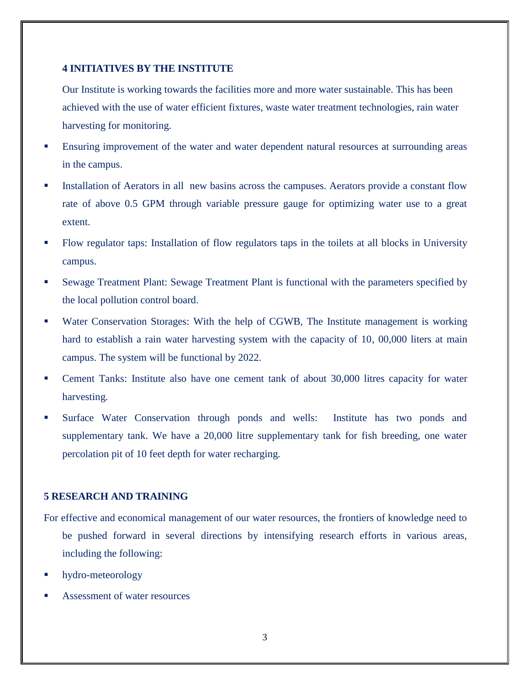#### **4 INITIATIVES BY THE INSTITUTE**

Our Institute is working towards the facilities more and more water sustainable. This has been achieved with the use of water efficient fixtures, waste water treatment technologies, rain water harvesting for monitoring.

- Ensuring improvement of the water and water dependent natural resources at surrounding areas in the campus.
- Installation of Aerators in all new basins across the campuses. Aerators provide a constant flow rate of above 0.5 GPM through variable pressure gauge for optimizing water use to a great extent.
- Flow regulator taps: Installation of flow regulators taps in the toilets at all blocks in University campus.
- Sewage Treatment Plant: Sewage Treatment Plant is functional with the parameters specified by the local pollution control board.
- Water Conservation Storages: With the help of CGWB, The Institute management is working hard to establish a rain water harvesting system with the capacity of 10, 00,000 liters at main campus. The system will be functional by 2022.
- Cement Tanks: Institute also have one cement tank of about 30,000 litres capacity for water harvesting.
- Surface Water Conservation through ponds and wells: Institute has two ponds and supplementary tank. We have a 20,000 litre supplementary tank for fish breeding, one water percolation pit of 10 feet depth for water recharging.

#### **5 RESEARCH AND TRAINING**

- For effective and economical management of our water resources, the frontiers of knowledge need to be pushed forward in several directions by intensifying research efforts in various areas, including the following:
- hydro-meteorology
- Assessment of water resources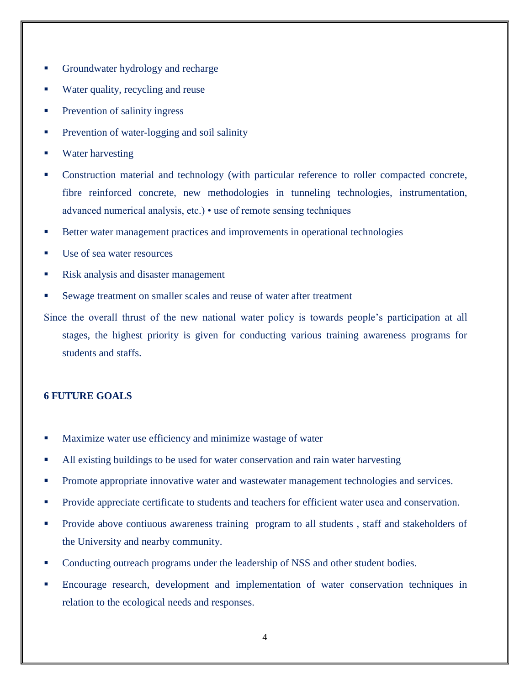- Groundwater hydrology and recharge
- Water quality, recycling and reuse
- Prevention of salinity ingress
- **Prevention of water-logging and soil salinity**
- Water harvesting
- Construction material and technology (with particular reference to roller compacted concrete, fibre reinforced concrete, new methodologies in tunneling technologies, instrumentation, advanced numerical analysis, etc.) • use of remote sensing techniques
- Better water management practices and improvements in operational technologies
- Use of sea water resources
- Risk analysis and disaster management
- Sewage treatment on smaller scales and reuse of water after treatment

Since the overall thrust of the new national water policy is towards people's participation at all stages, the highest priority is given for conducting various training awareness programs for students and staffs.

#### **6 FUTURE GOALS**

- Maximize water use efficiency and minimize wastage of water
- All existing buildings to be used for water conservation and rain water harvesting
- **Promote appropriate innovative water and wastewater management technologies and services.**
- Provide appreciate certificate to students and teachers for efficient water usea and conservation.
- Provide above contiuous awareness training program to all students , staff and stakeholders of the University and nearby community.
- Conducting outreach programs under the leadership of NSS and other student bodies.
- Encourage research, development and implementation of water conservation techniques in relation to the ecological needs and responses.